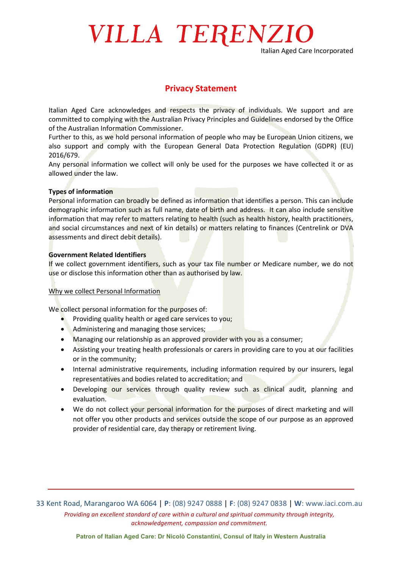# VILLA TERENZIO

Italian Aged Care Incorporated

### **Privacy Statement**

Italian Aged Care acknowledges and respects the privacy of individuals. We support and are committed to complying with the Australian Privacy Principles and Guidelines endorsed by the Office of the Australian Information Commissioner.

Further to this, as we hold personal information of people who may be European Union citizens, we also support and comply with the European General Data Protection Regulation (GDPR) (EU) 2016/679.

Any personal information we collect will only be used for the purposes we have collected it or as allowed under the law.

#### **Types of information**

Personal information can broadly be defined as information that identifies a person. This can include demographic information such as full name, date of birth and address. It can also include sensitive information that may refer to matters relating to health (such as health history, health practitioners, and social circumstances and next of kin details) or matters relating to finances (Centrelink or DVA assessments and direct debit details).

#### **Government Related Identifiers**

If we collect government identifiers, such as your tax file number or Medicare number, we do not use or disclose this information other than as authorised by law.

#### Why we collect Personal Information

We collect personal information for the purposes of:

- Providing quality health or aged care services to you;
- Administering and managing those services:
- Managing our relationship as an approved provider with you as a consumer;
- Assisting your treating health professionals or carers in providing care to you at our facilities or in the community;
- Internal administrative requirements, including information required by our insurers, legal representatives and bodies related to accreditation; and
- Developing our services through quality review such as clinical audit, planning and evaluation.
- We do not collect your personal information for the purposes of direct marketing and will not offer you other products and services outside the scope of our purpose as an approved provider of residential care, day therapy or retirement living.

33 Kent Road, Marangaroo WA 6064 | **P**: (08) 9247 0888 | **F**: (08) 9247 0838 | **W**: www.iaci.com.au *Providing an excellent standard of care within a cultural and spiritual community through integrity, acknowledgement, compassion and commitment.*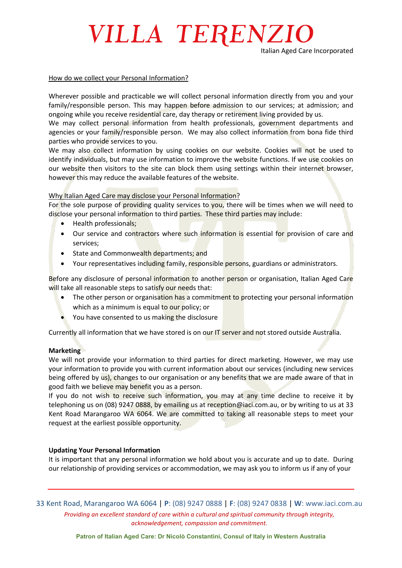### VILLA TERENZIO

#### How do we collect your Personal Information?

Wherever possible and practicable we will collect personal information directly from you and your family/responsible person. This may happen before admission to our services; at admission; and ongoing while you receive residential care, day therapy or retirement living provided by us.

We may collect personal information from health professionals, government departments and agencies or your family/responsible person. We may also collect information from bona fide third parties who provide services to you.

We may also collect information by using cookies on our website. Cookies will not be used to identify individuals, but may use information to improve the website functions. If we use cookies on our website then visitors to the site can block them using settings within their internet browser, however this may reduce the available features of the website.

#### Why Italian Aged Care may disclose your Personal Information?

For the sole purpose of providing quality services to you, there will be times when we will need to disclose your personal information to third parties. These third parties may include:

- Health professionals;
- Our service and contractors where such information is essential for provision of care and services;
- State and Commonwealth departments; and
- Your representatives including family, responsible persons, guardians or administrators.

Before any disclosure of personal information to another person or organisation, Italian Aged Care will take all reasonable steps to satisfy our needs that:

- The other person or organisation has a commitment to protecting your personal information which as a minimum is equal to our policy; or
- You have consented to us making the disclosure

Currently all information that we have stored is on our IT server and not stored outside Australia.

#### **Marketing**

We will not provide your information to third parties for direct marketing. However, we may use your information to provide you with current information about our services (including new services being offered by us), changes to our organisation or any benefits that we are made aware of that in good faith we believe may benefit you as a person.

If you do not wish to receive such information, you may at any time decline to receive it by telephoning us on (08) 9247 0888, by emailing us at reception@iaci.com.au, or by writing to us at 33 Kent Road Marangaroo WA 6064. We are committed to taking all reasonable steps to meet your request at the earliest possible opportunity.

#### **Updating Your Personal Information**

It is important that any personal information we hold about you is accurate and up to date. During our relationship of providing services or accommodation, we may ask you to inform us if any of your

33 Kent Road, Marangaroo WA 6064 | **P**: (08) 9247 0888 | **F**: (08) 9247 0838 | **W**: www.iaci.com.au *Providing an excellent standard of care within a cultural and spiritual community through integrity, acknowledgement, compassion and commitment.*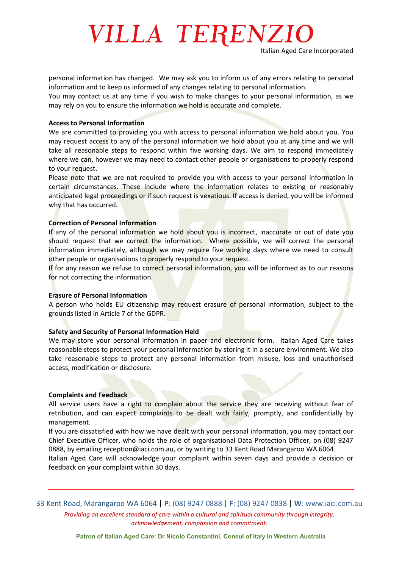# VILLA TERENZIO

personal information has changed. We may ask you to inform us of any errors relating to personal information and to keep us informed of any changes relating to personal information.

You may contact us at any time if you wish to make changes to your personal information, as we may rely on you to ensure the information we hold is accurate and complete.

#### **Access to Personal Information**

We are committed to providing you with access to personal information we hold about you. You may request access to any of the personal information we hold about you at any time and we will take all reasonable steps to respond within five working days. We aim to respond immediately where we can, however we may need to contact other people or organisations to properly respond to your request.

Please note that we are not required to provide you with access to your personal information in certain circumstances. These include where the information relates to existing or reasonably anticipated legal proceedings or if such request is vexatious. If access is denied, you will be informed why that has occurred.

#### **Correction of Personal Information**

If any of the personal information we hold about you is incorrect, inaccurate or out of date vou should request that we correct the information. Where possible, we will correct the personal information immediately, although we may require five working days where we need to consult other people or organisations to properly respond to your request.

If for any reason we refuse to correct personal information, you will be informed as to our reasons for not correcting the information.

#### **Erasure of Personal Information**

A person who holds EU citizenship may request erasure of personal information, subject to the grounds listed in Article 7 of the GDPR.

#### **Safety and Security of Personal Information Held**

We may store your personal information in paper and electronic form. Italian Aged Care takes reasonable steps to protect your personal information by storing it in a secure environment. We also take reasonable steps to protect any personal information from misuse, loss and unauthorised access, modification or disclosure.

#### **Complaints and Feedback**

All service users have a right to complain about the service they are receiving without fear of retribution, and can expect complaints to be dealt with fairly, promptly, and confidentially by management.

If you are dissatisfied with how we have dealt with your personal information, you may contact our Chief Executive Officer, who holds the role of organisational Data Protection Officer, on (08) 9247 0888, by emailing reception@iaci.com.au, or by writing to 33 Kent Road Marangaroo WA 6064.

Italian Aged Care will acknowledge your complaint within seven days and provide a decision or feedback on your complaint within 30 days.

33 Kent Road, Marangaroo WA 6064 | **P**: (08) 9247 0888 | **F**: (08) 9247 0838 | **W**: www.iaci.com.au *Providing an excellent standard of care within a cultural and spiritual community through integrity, acknowledgement, compassion and commitment.*